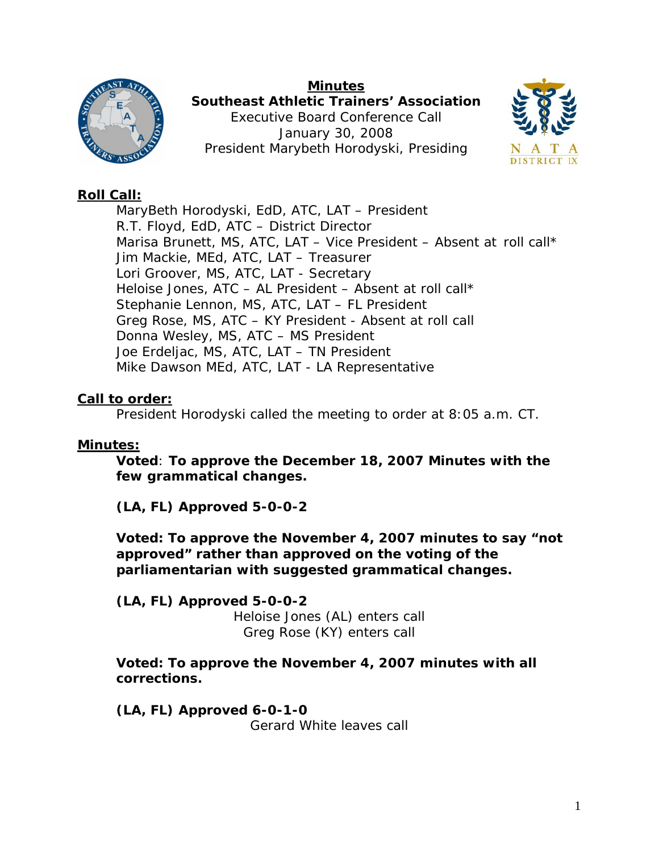



**Southeast Athletic Trainers' Association**  Executive Board Conference Call January 30, 2008 President Marybeth Horodyski, Presiding



# **Roll Call:**

 MaryBeth Horodyski, EdD, ATC, LAT – President R.T. Floyd, EdD, ATC – District Director Marisa Brunett, MS, ATC, LAT - Vice President - Absent at roll call\* Jim Mackie, MEd, ATC, LAT – Treasurer Lori Groover, MS, ATC, LAT - Secretary Heloise Jones, ATC – AL President – Absent at roll call\* Stephanie Lennon, MS, ATC, LAT – FL President Greg Rose, MS, ATC – KY President - Absent at roll call Donna Wesley, MS, ATC – MS President Joe Erdeljac, MS, ATC, LAT – TN President Mike Dawson MEd, ATC, LAT - LA Representative

# **Call to order:**

President Horodyski called the meeting to order at 8:05 a.m. CT.

# **Minutes:**

**Voted**: **To approve the December 18, 2007 Minutes with the few grammatical changes.** 

**(LA, FL) Approved 5-0-0-2** 

**Voted: To approve the November 4, 2007 minutes to say "not approved" rather than approved on the voting of the parliamentarian with suggested grammatical changes.** 

**(LA, FL) Approved 5-0-0-2**  *Heloise Jones (AL) enters call Greg Rose (KY) enters call* 

**Voted: To approve the November 4, 2007 minutes with all corrections.** 

**(LA, FL) Approved 6-0-1-0**  *Gerard White leaves call*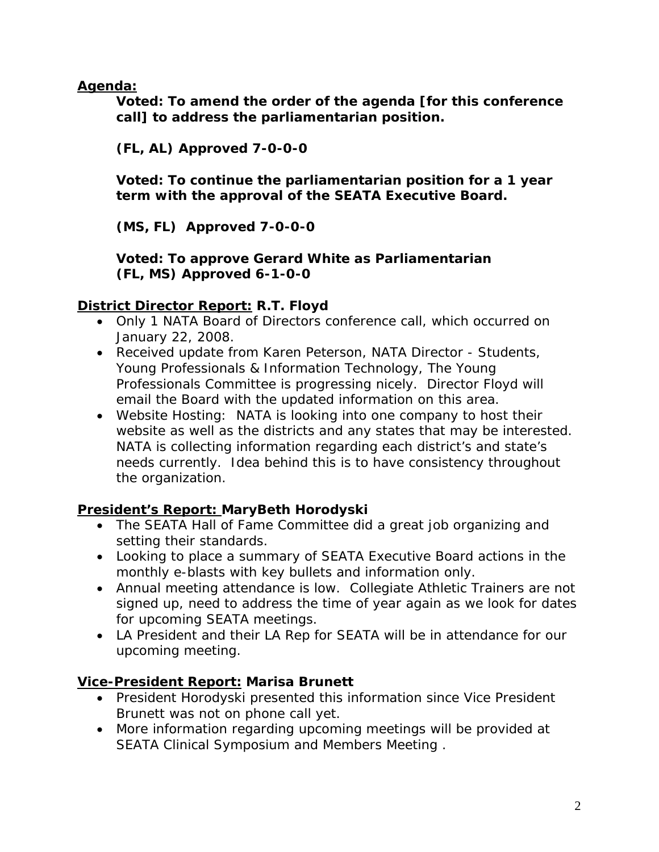**Agenda:**

**Voted: To amend the order of the agenda [for this conference call] to address the parliamentarian position.** 

**(FL, AL) Approved 7-0-0-0** 

**Voted: To continue the parliamentarian position for a 1 year term with the approval of the SEATA Executive Board.** 

**(MS, FL) Approved 7-0-0-0** 

**Voted: To approve Gerard White as Parliamentarian (FL, MS) Approved 6-1-0-0** 

### **District Director Report: R.T. Floyd**

- Only 1 NATA Board of Directors conference call, which occurred on January 22, 2008.
- Received update from Karen Peterson, NATA Director Students, Young Professionals & Information Technology, The Young Professionals Committee is progressing nicely. Director Floyd will email the Board with the updated information on this area.
- Website Hosting: NATA is looking into one company to host their website as well as the districts and any states that may be interested. NATA is collecting information regarding each district's and state's needs currently. Idea behind this is to have consistency throughout the organization.

# **President's Report: MaryBeth Horodyski**

- The SEATA Hall of Fame Committee did a great job organizing and setting their standards.
- Looking to place a summary of SEATA Executive Board actions in the monthly e-blasts with key bullets and information only.
- Annual meeting attendance is low. Collegiate Athletic Trainers are not signed up, need to address the time of year again as we look for dates for upcoming SEATA meetings.
- LA President and their LA Rep for SEATA will be in attendance for our upcoming meeting.

# **Vice-President Report: Marisa Brunett**

- President Horodyski presented this information since Vice President Brunett was not on phone call yet.
- More information regarding upcoming meetings will be provided at SEATA Clinical Symposium and Members Meeting .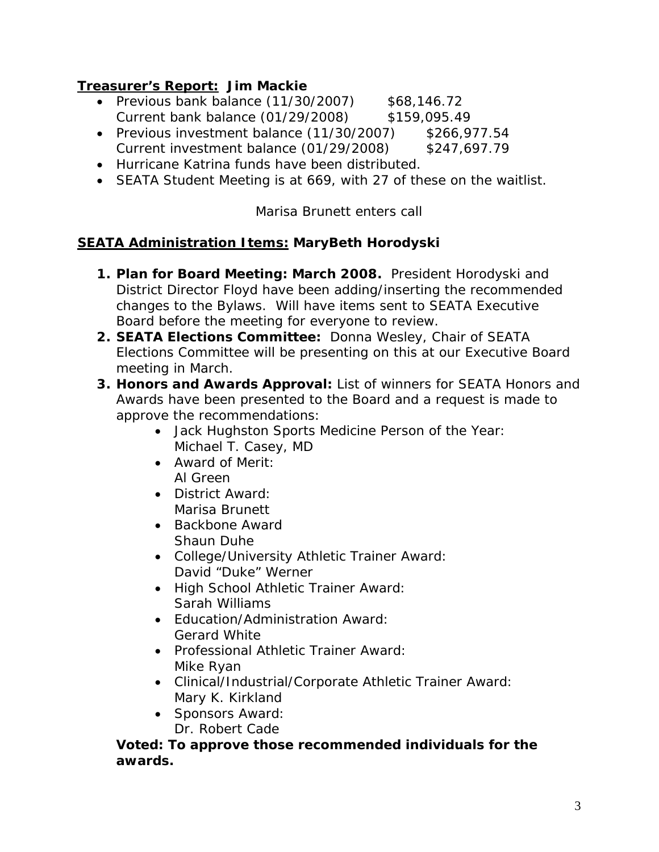# **Treasurer's Report: Jim Mackie**

- Previous bank balance  $(11/30/2007)$  \$68,146.72 Current bank balance (01/29/2008) \$159,095.49
- Previous investment balance (11/30/2007) \$266,977.54 Current investment balance (01/29/2008) \$247,697.79
- Hurricane Katrina funds have been distributed.
- SEATA Student Meeting is at 669, with 27 of these on the waitlist.

*Marisa Brunett enters call* 

### **SEATA Administration Items: MaryBeth Horodyski**

- **1. Plan for Board Meeting: March 2008.** President Horodyski and District Director Floyd have been adding/inserting the recommended changes to the Bylaws. Will have items sent to SEATA Executive Board before the meeting for everyone to review.
- **2. SEATA Elections Committee:** Donna Wesley, Chair of SEATA Elections Committee will be presenting on this at our Executive Board meeting in March.
- **3. Honors and Awards Approval:** List of winners for SEATA Honors and Awards have been presented to the Board and a request is made to approve the recommendations:
	- Jack Hughston Sports Medicine Person of the Year: Michael T. Casey, MD
	- Award of Merit: Al Green
	- District Award: Marisa Brunett
	- Backbone Award Shaun Duhe
	- College/University Athletic Trainer Award: David "Duke" Werner
	- High School Athletic Trainer Award: Sarah Williams
	- Education/Administration Award: Gerard White
	- Professional Athletic Trainer Award: Mike Ryan
	- Clinical/Industrial/Corporate Athletic Trainer Award: Mary K. Kirkland
	- Sponsors Award: Dr. Robert Cade

**Voted: To approve those recommended individuals for the awards.**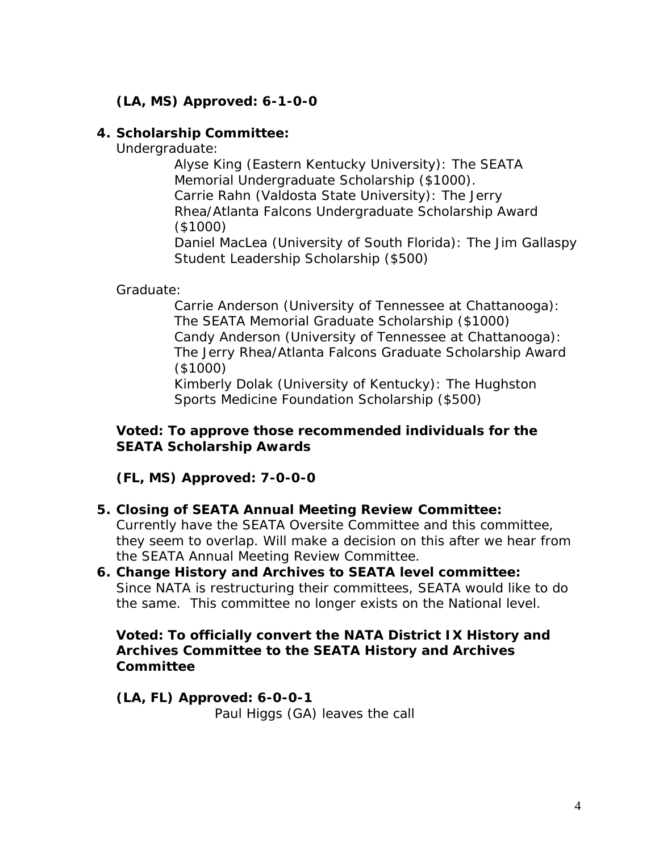# **(LA, MS) Approved: 6-1-0-0**

#### **4. Scholarship Committee:**

Undergraduate:

 Alyse King (Eastern Kentucky University): The SEATA Memorial Undergraduate Scholarship (\$1000). Carrie Rahn (Valdosta State University): The Jerry Rhea/Atlanta Falcons Undergraduate Scholarship Award (\$1000)

 Daniel MacLea (University of South Florida): The Jim Gallaspy Student Leadership Scholarship (\$500)

Graduate:

 Carrie Anderson (University of Tennessee at Chattanooga): The SEATA Memorial Graduate Scholarship (\$1000) Candy Anderson (University of Tennessee at Chattanooga): The Jerry Rhea/Atlanta Falcons Graduate Scholarship Award (\$1000)

 Kimberly Dolak (University of Kentucky): The Hughston Sports Medicine Foundation Scholarship (\$500)

#### **Voted: To approve those recommended individuals for the SEATA Scholarship Awards**

**(FL, MS) Approved: 7-0-0-0** 

#### **5. Closing of SEATA Annual Meeting Review Committee:**

Currently have the SEATA Oversite Committee and this committee, they seem to overlap. Will make a decision on this after we hear from the SEATA Annual Meeting Review Committee.

#### **6. Change History and Archives to SEATA level committee:**  Since NATA is restructuring their committees, SEATA would like to do the same. This committee no longer exists on the National level.

#### **Voted: To officially convert the NATA District IX History and Archives Committee to the SEATA History and Archives Committee**

**(LA, FL) Approved: 6-0-0-1**  *Paul Higgs (GA) leaves the call*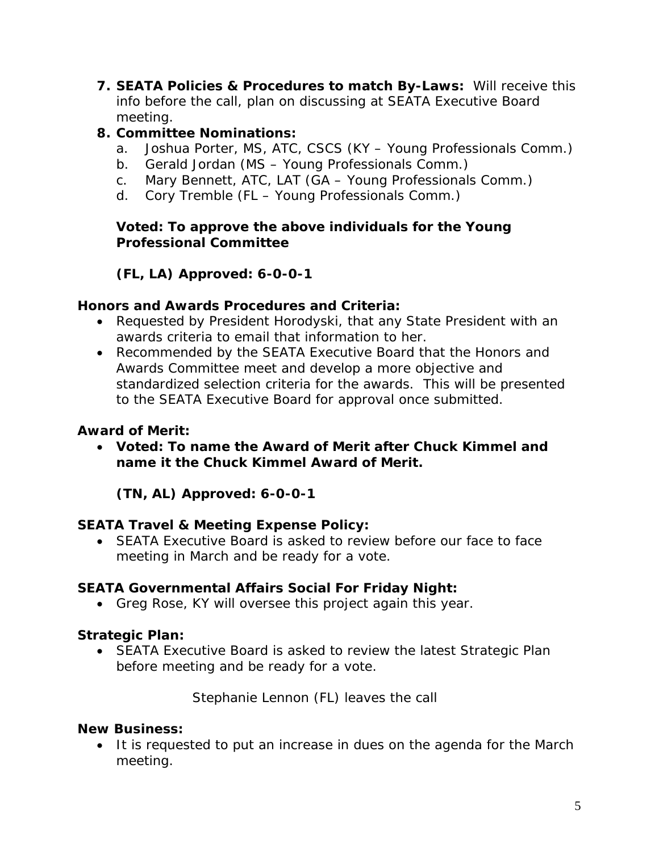**7. SEATA Policies & Procedures to match By-Laws:** Will receive this info before the call, plan on discussing at SEATA Executive Board meeting.

# **8. Committee Nominations:**

- a. Joshua Porter, MS, ATC, CSCS (KY Young Professionals Comm.)
- b. Gerald Jordan (MS Young Professionals Comm.)
- c. Mary Bennett, ATC, LAT (GA Young Professionals Comm.)
- d. Cory Tremble (FL Young Professionals Comm.)

## **Voted: To approve the above individuals for the Young Professional Committee**

# **(FL, LA) Approved: 6-0-0-1**

### **Honors and Awards Procedures and Criteria:**

- Requested by President Horodyski, that any State President with an awards criteria to email that information to her.
- Recommended by the SEATA Executive Board that the Honors and Awards Committee meet and develop a more objective and standardized selection criteria for the awards. This will be presented to the SEATA Executive Board for approval once submitted.

## **Award of Merit:**

• **Voted: To name the Award of Merit after Chuck Kimmel and name it the Chuck Kimmel Award of Merit.** 

**(TN, AL) Approved: 6-0-0-1** 

# **SEATA Travel & Meeting Expense Policy:**

• SEATA Executive Board is asked to review before our face to face meeting in March and be ready for a vote.

# **SEATA Governmental Affairs Social For Friday Night:**

• Greg Rose, KY will oversee this project again this year.

# **Strategic Plan:**

• SEATA Executive Board is asked to review the latest Strategic Plan before meeting and be ready for a vote.

*Stephanie Lennon (FL) leaves the call* 

#### **New Business:**

• It is requested to put an increase in dues on the agenda for the March meeting.